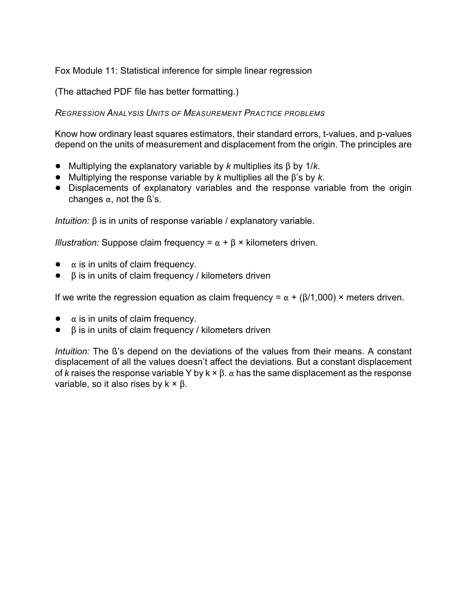Fox Module 11: Statistical inference for simple linear regression

(The attached PDF file has better formatting.)

*REGRESSION ANALYSIS UNITS OF MEASUREMENT PRACTICE PROBLEMS*

Know how ordinary least squares estimators, their standard errors, t-values, and p-values depend on the units of measurement and displacement from the origin. The principles are

- $\bullet$  Multiplying the explanatory variable by *k* multiplies its  $\beta$  by 1/*k*.
- $\bullet$  Multiplying the response variable by *k* multiplies all the  $\beta$ 's by *k*.
- ! Displacements of explanatory variables and the response variable from the origin changes  $\alpha$ , not the ß's.

*Intuition:*  $\beta$  is in units of response variable / explanatory variable.

*Illustration:* Suppose claim frequency =  $\alpha + \beta$  × kilometers driven.

- $\bullet$   $\alpha$  is in units of claim frequency.
- $\beta$  is in units of claim frequency / kilometers driven

If we write the regression equation as claim frequency =  $\alpha + (\beta/1,000) \times$  meters driven.

- $\bullet$   $\alpha$  is in units of claim frequency.
- $\bullet$   $\beta$  is in units of claim frequency / kilometers driven

*Intuition:* The ß's depend on the deviations of the values from their means. A constant displacement of all the values doesn't affect the deviations. But a constant displacement of *k* raises the response variable Y by  $k \times \beta$ .  $\alpha$  has the same displacement as the response variable, so it also rises by  $k \times \beta$ .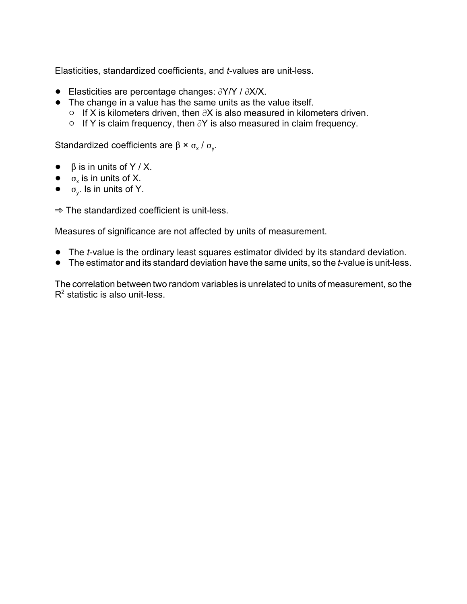Elasticities, standardized coefficients, and *t*-values are unit-less.

- $\bullet$  Elasticities are percentage changes:  $\partial Y/Y$  /  $\partial X/X$ .
- The change in a value has the same units as the value itself.
	- $\circ$  If X is kilometers driven, then  $\partial X$  is also measured in kilometers driven.
	- $\circ$  If Y is claim frequency, then  $\partial Y$  is also measured in claim frequency.

Standardized coefficients are  $\beta \times \sigma_{\rm x}$  /  $\sigma_{\rm y}$ .

- $\bullet$   $\beta$  is in units of Y / X.
- $\bullet$   $\sigma_x$  is in units of X.
- $\bullet$   $\sigma_y$ . Is in units of Y.

 $\Rightarrow$  The standardized coefficient is unit-less.

Measures of significance are not affected by units of measurement.

- ! The *t*-value is the ordinary least squares estimator divided by its standard deviation.
- ! The estimator and its standard deviation have the same units, so the *t*-value is unit-less.

The correlation between two random variables is unrelated to units of measurement, so the  $R<sup>2</sup>$  statistic is also unit-less.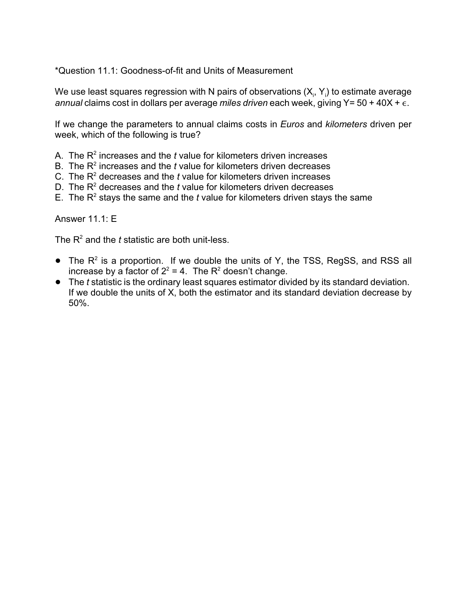\*Question 11.1: Goodness-of-fit and Units of Measurement

We use least squares regression with N pairs of observations (X<sub>i</sub>, Y<sub>i</sub>) to estimate average *annual* claims cost in dollars per average *miles driven* each week, giving Y= 50 + 40X +  $\epsilon$ .

If we change the parameters to annual claims costs in *Euros* and *kilometers* driven per week, which of the following is true?

- A. The  $R<sup>2</sup>$  increases and the  $t$  value for kilometers driven increases
- B. The  $R<sup>2</sup>$  increases and the  $t$  value for kilometers driven decreases
- C. The  $R<sup>2</sup>$  decreases and the  $t$  value for kilometers driven increases
- D. The  $R<sup>2</sup>$  decreases and the  $t$  value for kilometers driven decreases
- E. The  $R^2$  stays the same and the *t* value for kilometers driven stays the same

Answer 11.1: E

The  $R<sup>2</sup>$  and the *t* statistic are both unit-less.

- The  $R^2$  is a proportion. If we double the units of Y, the TSS, RegSS, and RSS all increase by a factor of  $2^2 = 4$ . The R<sup>2</sup> doesn't change.
- ! The *t* statistic is the ordinary least squares estimator divided by its standard deviation. If we double the units of X, both the estimator and its standard deviation decrease by 50%.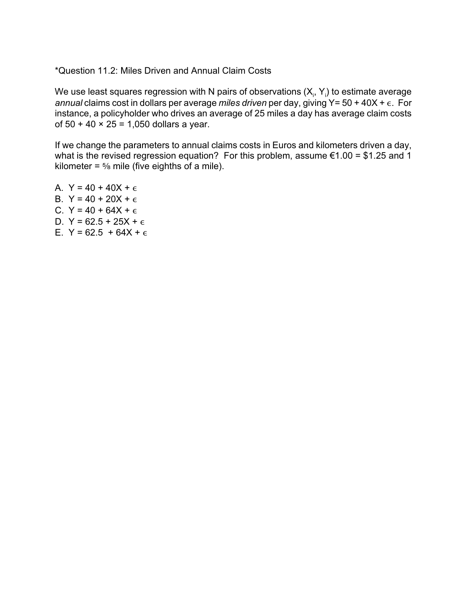\*Question 11.2: Miles Driven and Annual Claim Costs

We use least squares regression with N pairs of observations (X<sub>i</sub>, Y<sub>i</sub>) to estimate average annual claims cost in dollars per average *miles driven* per day, giving Y= 50 + 40X + ε. For instance, a policyholder who drives an average of 25 miles a day has average claim costs of  $50 + 40 \times 25 = 1,050$  dollars a year.

If we change the parameters to annual claims costs in Euros and kilometers driven a day, what is the revised regression equation? For this problem, assume  $\epsilon$ 1.00 = \$1.25 and 1 kilometer =  $\frac{5}{8}$  mile (five eighths of a mile).

A.  $Y = 40 + 40X + \epsilon$ B.  $Y = 40 + 20X + \epsilon$ C.  $Y = 40 + 64X + \epsilon$ D.  $Y = 62.5 + 25X + \epsilon$ E.  $Y = 62.5 + 64X + \epsilon$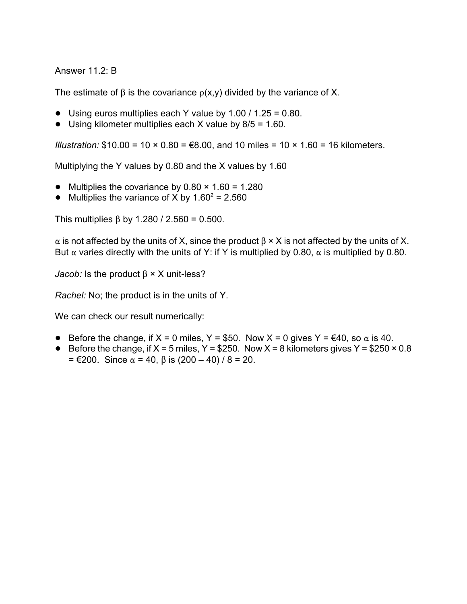## Answer 11.2: B

The estimate of  $\beta$  is the covariance  $\rho(x,y)$  divided by the variance of X.

- $\bullet$  Using euros multiplies each Y value by 1.00 / 1.25 = 0.80.
- $\bullet$  Using kilometer multiplies each X value by 8/5 = 1.60.

*Illustration:*  $$10.00 = 10 \times 0.80 = $8.00$ , and 10 miles =  $10 \times 1.60 = 16$  kilometers.

Multiplying the Y values by 0.80 and the X values by 1.60

- Multiplies the covariance by  $0.80 \times 1.60 = 1.280$
- Multiplies the variance of X by  $1.60^2 = 2.560$

This multiplies  $\beta$  by 1.280 / 2.560 = 0.500.

 $\alpha$  is not affected by the units of X, since the product  $\beta \times X$  is not affected by the units of X. But  $\alpha$  varies directly with the units of Y: if Y is multiplied by 0.80,  $\alpha$  is multiplied by 0.80.

*Jacob:* Is the product  $\beta \times X$  unit-less?

*Rachel:* No; the product is in the units of Y.

We can check our result numerically:

- Before the change, if  $X = 0$  miles,  $Y = $50$ . Now  $X = 0$  gives  $Y = \text{\textsterling}40$ , so  $\alpha$  is 40.
- Before the change, if  $X = 5$  miles, Y = \$250. Now X = 8 kilometers gives Y = \$250  $\times$  0.8  $= \epsilon 200$ . Since  $\alpha = 40$ ,  $\beta$  is (200 – 40) / 8 = 20.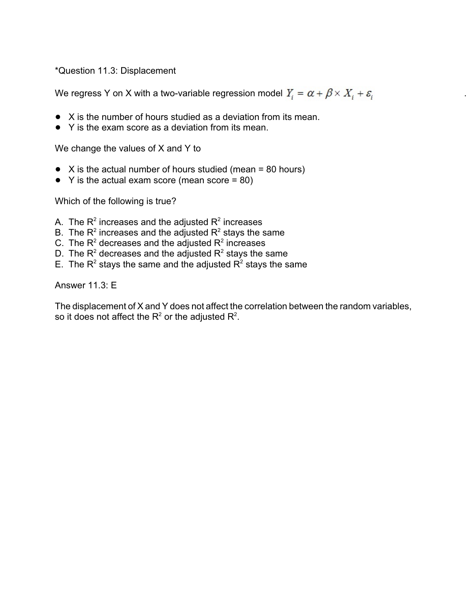\*Question 11.3: Displacement

We regress Y on X with a two-variable regression model  $Y_i = \alpha + \beta \times X_i + \varepsilon_i$ 

- $\bullet$  X is the number of hours studied as a deviation from its mean.
- Y is the exam score as a deviation from its mean.

We change the values of X and Y to

- $\bullet$  X is the actual number of hours studied (mean = 80 hours)
- $\bullet$  Y is the actual exam score (mean score = 80)

Which of the following is true?

- A. The  $R^2$  increases and the adjusted  $R^2$  increases
- B. The  $R^2$  increases and the adjusted  $R^2$  stays the same
- C. The  $R^2$  decreases and the adjusted  $R^2$  increases
- D. The R<sup>2</sup> decreases and the adjusted R<sup>2</sup> stays the same
- E. The R<sup>2</sup> stays the same and the adjusted R<sup>2</sup> stays the same

Answer 11.3: E

The displacement of X and Y does not affect the correlation between the random variables, so it does not affect the  $\mathsf{R}^2$  or the adjusted  $\mathsf{R}^2.$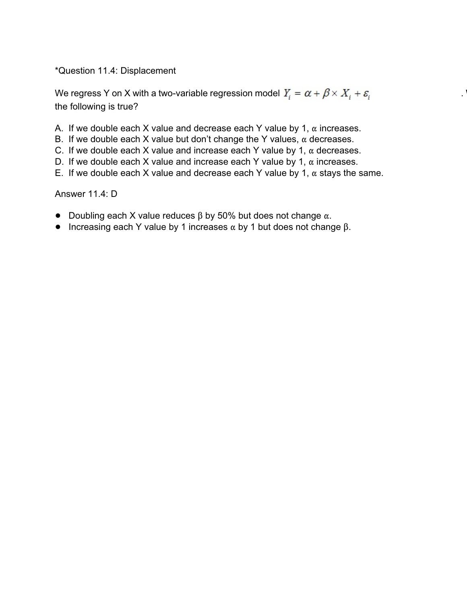\*Question 11.4: Displacement

We regress Y on X with a two-variable regression model  $Y_i = \alpha + \beta \times X_i + \varepsilon_i$ the following is true?

- A. If we double each X value and decrease each Y value by 1,  $\alpha$  increases.
- B. If we double each X value but don't change the Y values,  $\alpha$  decreases.
- C. If we double each X value and increase each Y value by 1,  $\alpha$  decreases.
- D. If we double each X value and increase each Y value by 1,  $\alpha$  increases.
- E. If we double each X value and decrease each Y value by 1,  $\alpha$  stays the same.

Answer 11.4: D

- Doubling each X value reduces  $\beta$  by 50% but does not change  $\alpha$ .
- Increasing each Y value by 1 increases  $\alpha$  by 1 but does not change  $\beta$ .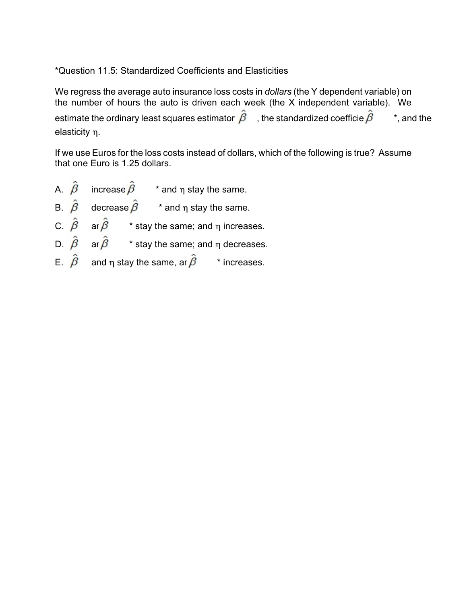## \*Question 11.5: Standardized Coefficients and Elasticities

We regress the average auto insurance loss costs in *dollars* (the Y dependent variable) on the number of hours the auto is driven each week (the  $X$  independent variable). We estimate the ordinary least squares estimator  $\beta$ , the standardized coefficie  $\beta$ ,  $\alpha$ , and the elasticity  $\eta$ .

If we use Euros for the loss costs instead of dollars, which of the following is true? Assume that one Euro is 1.25 dollars.

- A.  $\hat{\beta}$  increase  $\hat{\beta}$  \* and  $\eta$  stay the same. B.  $\hat{\beta}$  decrease  $\hat{\beta}$  \* and  $\eta$  stay the same. C.  $\hat{\beta}$  ar $\hat{\beta}$  \* stay the same; and  $\eta$  increases. D.  $\hat{\beta}$  ar  $\hat{\beta}$  \* stay the same; and n decreases.
- E.  $\hat{\beta}$  and n stay the same, ar  $\hat{\beta}$  \* increases.